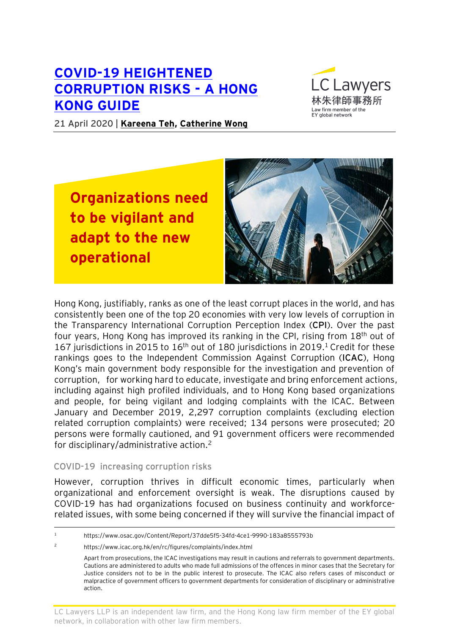# **[COVID-19 HEIGHTENED](https://www.eylaw.com.hk/en_hk/publications/our-latest-thinking/2020/april/covid-19-heightened-corruption-risks-a-hong-kong-guide)  [CORRUPTION RISKS -](https://www.eylaw.com.hk/en_hk/publications/our-latest-thinking/2020/april/covid-19-heightened-corruption-risks-a-hong-kong-guide) A HONG [KONG GUIDE](https://www.eylaw.com.hk/en_hk/publications/our-latest-thinking/2020/april/covid-19-heightened-corruption-risks-a-hong-kong-guide)**



21 April 2020 | **[Kareena Teh,](https://www.eylaw.com.hk/en_hk/people/kareena-teh) [Catherine Wong](https://www.eylaw.com.hk/en_hk/people/catherine-wong)**

**Organizations need to be vigilant and adapt to the new operational** 

**paradigms**



Hong Kong, justifiably, ranks as one of the least corrupt places in the world, and has consistently been one of the top 20 economies with very low levels of corruption in the Transparency International Corruption Perception Index (**CPI**). Over the past four years, Hong Kong has improved its ranking in the CPI, rising from 18th out of 167 jurisdictions in 2015 to  $16<sup>th</sup>$  out of 180 jurisdictions in 2019.<sup>1</sup> Credit for these rankings goes to the Independent Commission Against Corruption (**ICAC**), Hong Kong's main government body responsible for the investigation and prevention of corruption, for working hard to educate, investigate and bring enforcement actions, including against high profiled individuals, and to Hong Kong based organizations and people, for being vigilant and lodging complaints with the ICAC. Between January and December 2019, 2,297 corruption complaints (excluding election related corruption complaints) were received; 134 persons were prosecuted; 20 persons were formally cautioned, and 91 government officers were recommended for disciplinary/administrative action.<sup>2</sup>

#### **COVID-19 increasing corruption risks**

However, corruption thrives in difficult economic times, particularly when organizational and enforcement oversight is weak. The disruptions caused by COVID-19 has had organizations focused on business continuity and workforcerelated issues, with some being concerned if they will survive the financial impact of

<sup>2</sup> <https://www.icac.org.hk/en/rc/figures/complaints/index.html>

LC Lawyers LLP is an independent law firm, and the Hong Kong law firm member of the EY global network, in collaboration with other law firm members.

<sup>1</sup> https://www.osac.gov/Content/Report/37dde5f5-34fd-4ce1-9990-183a8555793b

Apart from prosecutions, the ICAC investigations may result in cautions and referrals to government departments. Cautions are administered to adults who made full admissions of the offences in minor cases that the Secretary for Justice considers not to be in the public interest to prosecute. The ICAC also refers cases of misconduct or malpractice of government officers to government departments for consideration of disciplinary or administrative action.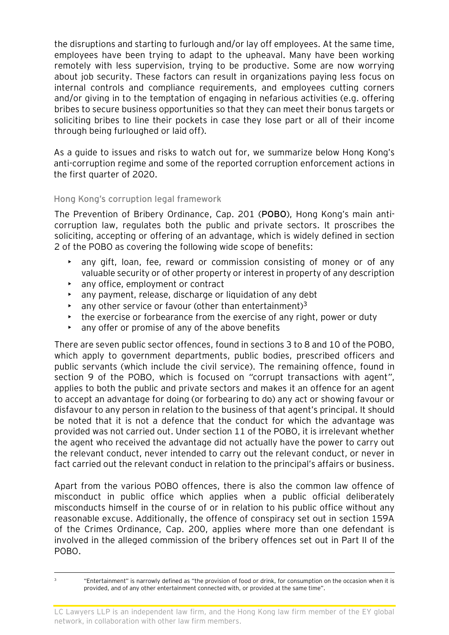the disruptions and starting to furlough and/or lay off employees. At the same time, employees have been trying to adapt to the upheaval. Many have been working remotely with less supervision, trying to be productive. Some are now worrying about job security. These factors can result in organizations paying less focus on internal controls and compliance requirements, and employees cutting corners and/or giving in to the temptation of engaging in nefarious activities (e.g. offering bribes to secure business opportunities so that they can meet their bonus targets or soliciting bribes to line their pockets in case they lose part or all of their income through being furloughed or laid off).

As a guide to issues and risks to watch out for, we summarize below Hong Kong's anti-corruption regime and some of the reported corruption enforcement actions in the first quarter of 2020.

## **Hong Kong's corruption legal framework**

The Prevention of Bribery Ordinance, Cap. 201 (**POBO**), Hong Kong's main anticorruption law, regulates both the public and private sectors. It proscribes the soliciting, accepting or offering of an advantage, which is widely defined in section 2 of the POBO as covering the following wide scope of benefits:

- any gift, loan, fee, reward or commission consisting of money or of any valuable security or of other property or interest in property of any description
- any office, employment or contract
- any payment, release, discharge or liquidation of any debt
- any other service or favour (other than entertainment)<sup>3</sup>
- the exercise or forbearance from the exercise of any right, power or duty
- any offer or promise of any of the above benefits

There are seven public sector offences, found in sections 3 to 8 and 10 of the POBO, which apply to government departments, public bodies, prescribed officers and public servants (which include the civil service). The remaining offence, found in section 9 of the POBO, which is focused on *"*corrupt transactions with agent*"*, applies to both the public and private sectors and makes it an offence for an agent to accept an advantage for doing (or forbearing to do) any act or showing favour or disfavour to any person in relation to the business of that agent's principal. It should be noted that it is not a defence that the conduct for which the advantage was provided was not carried out. Under section 11 of the POBO, it is irrelevant whether the agent who received the advantage did not actually have the power to carry out the relevant conduct, never intended to carry out the relevant conduct, or never in fact carried out the relevant conduct in relation to the principal's affairs or business.

Apart from the various POBO offences, there is also the common law offence of misconduct in public office which applies when a public official deliberately misconducts himself in the course of or in relation to his public office without any reasonable excuse. Additionally, the offence of conspiracy set out in section 159A of the Crimes Ordinance, Cap. 200, applies where more than one defendant is involved in the alleged commission of the bribery offences set out in Part II of the POBO.

<sup>3</sup> "Entertainment" is narrowly defined as "the provision of food or drink, for consumption on the occasion when it is provided, and of any other entertainment connected with, or provided at the same time".

LC Lawyers LLP is an independent law firm, and the Hong Kong law firm member of the EY global network, in collaboration with other law firm members.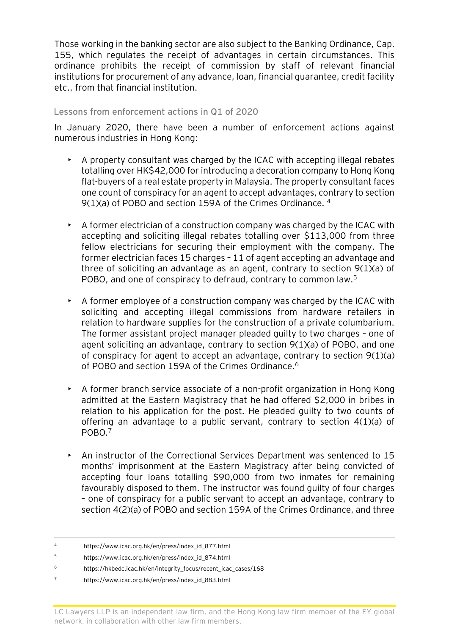Those working in the banking sector are also subject to the Banking Ordinance, Cap. 155, which regulates the receipt of advantages in certain circumstances. This ordinance prohibits the receipt of commission by staff of relevant financial institutions for procurement of any advance, loan, financial guarantee, credit facility etc., from that financial institution.

#### **Lessons from enforcement actions in Q1 of 2020**

In January 2020, there have been a number of enforcement actions against numerous industries in Hong Kong:

- A property consultant was charged by the ICAC with accepting illegal rebates totalling over HK\$42,000 for introducing a decoration company to Hong Kong flat-buyers of a real estate property in Malaysia. The property consultant faces one count of conspiracy for an agent to accept advantages, contrary to section 9(1)(a) of POBO and section 159A of the Crimes Ordinance. <sup>4</sup>
- $\triangleright$  A former electrician of a construction company was charged by the ICAC with accepting and soliciting illegal rebates totalling over \$113,000 from three fellow electricians for securing their employment with the company. The former electrician faces 15 charges – 11 of agent accepting an advantage and three of soliciting an advantage as an agent, contrary to section 9(1)(a) of POBO, and one of conspiracy to defraud, contrary to common law.<sup>5</sup>
- A former employee of a construction company was charged by the ICAC with soliciting and accepting illegal commissions from hardware retailers in relation to hardware supplies for the construction of a private columbarium. The former assistant project manager pleaded guilty to two charges – one of agent soliciting an advantage, contrary to section 9(1)(a) of POBO, and one of conspiracy for agent to accept an advantage, contrary to section 9(1)(a) of POBO and section 159A of the Crimes Ordinance.<sup>6</sup>
- A former branch service associate of a non-profit organization in Hong Kong admitted at the Eastern Magistracy that he had offered \$2,000 in bribes in relation to his application for the post. He pleaded guilty to two counts of offering an advantage to a public servant, contrary to section 4(1)(a) of POBO.<sup>7</sup>
- An instructor of the Correctional Services Department was sentenced to 15 months' imprisonment at the Eastern Magistracy after being convicted of accepting four loans totalling \$90,000 from two inmates for remaining favourably disposed to them. The instructor was found guilty of four charges – one of conspiracy for a public servant to accept an advantage, contrary to section 4(2)(a) of POBO and section 159A of the Crimes Ordinance, and three

<sup>4</sup> https://www.icac.org.hk/en/press/index\_id\_877.html

<sup>5</sup> https://www.icac.org.hk/en/press/index\_id\_874.html

<sup>6</sup> https://hkbedc.icac.hk/en/integrity\_focus/recent\_icac\_cases/168

<sup>7</sup> https://www.icac.org.hk/en/press/index\_id\_883.html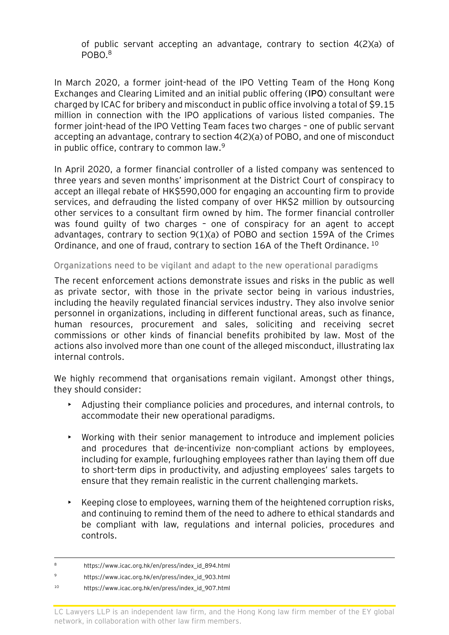of public servant accepting an advantage, contrary to section 4(2)(a) of POBO.<sup>8</sup>

In March 2020, a former joint-head of the IPO Vetting Team of the Hong Kong Exchanges and Clearing Limited and an initial public offering (**IPO**) consultant were charged by ICAC for bribery and misconduct in public office involving a total of \$9.15 million in connection with the IPO applications of various listed companies. The former joint-head of the IPO Vetting Team faces two charges – one of public servant accepting an advantage, contrary to section 4(2)(a) of POBO, and one of misconduct in public office, contrary to common law. $9$ 

In April 2020, a former financial controller of a listed company was sentenced to three years and seven months' imprisonment at the District Court of conspiracy to accept an illegal rebate of HK\$590,000 for engaging an accounting firm to provide services, and defrauding the listed company of over HK\$2 million by outsourcing other services to a consultant firm owned by him. The former financial controller was found guilty of two charges – one of conspiracy for an agent to accept advantages, contrary to section 9(1)(a) of POBO and section 159A of the Crimes Ordinance, and one of fraud, contrary to section 16A of the Theft Ordinance. <sup>10</sup>

## **Organizations need to be vigilant and adapt to the new operational paradigms**

The recent enforcement actions demonstrate issues and risks in the public as well as private sector, with those in the private sector being in various industries, including the heavily regulated financial services industry. They also involve senior personnel in organizations, including in different functional areas, such as finance, human resources, procurement and sales, soliciting and receiving secret commissions or other kinds of financial benefits prohibited by law. Most of the actions also involved more than one count of the alleged misconduct, illustrating lax internal controls.

We highly recommend that organisations remain vigilant. Amongst other things, they should consider:

- Adjusting their compliance policies and procedures, and internal controls, to accommodate their new operational paradigms.
- Working with their senior management to introduce and implement policies and procedures that de-incentivize non-compliant actions by employees, including for example, furloughing employees rather than laying them off due to short-term dips in productivity, and adjusting employees' sales targets to ensure that they remain realistic in the current challenging markets.
- $\triangleright$  Keeping close to employees, warning them of the heightened corruption risks, and continuing to remind them of the need to adhere to ethical standards and be compliant with law, regulations and internal policies, procedures and controls.

<sup>8</sup> https://www.icac.org.hk/en/press/index id 894.html

<sup>9</sup> https://www.icac.org.hk/en/press/index\_id\_903.html

<sup>10</sup> https://www.icac.org.hk/en/press/index\_id\_907.html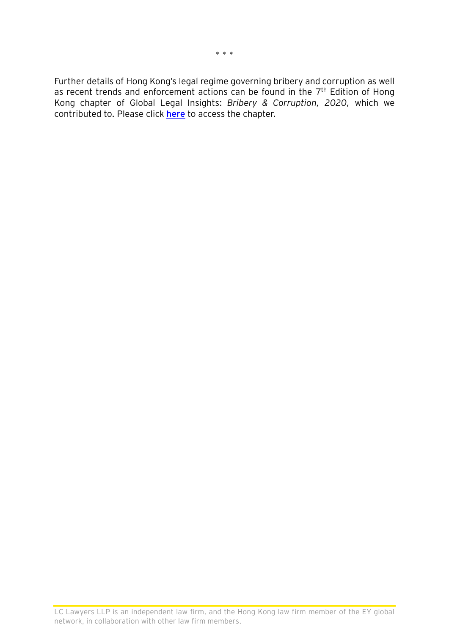Further details of Hong Kong's legal regime governing bribery and corruption as well as recent trends and enforcement actions can be found in the  $7<sup>th</sup>$  Edition of Hong Kong chapter of Global Legal Insights: *Bribery & Corruption, 2020,* which we contributed to. Please click **[here](https://www.globallegalinsights.com/practice-areas/bribery-and-corruption-laws-and-regulations/hong-kong)** to access the chapter.

LC Lawyers LLP is an independent law firm, and the Hong Kong law firm member of the EY global network, in collaboration with other law firm members.